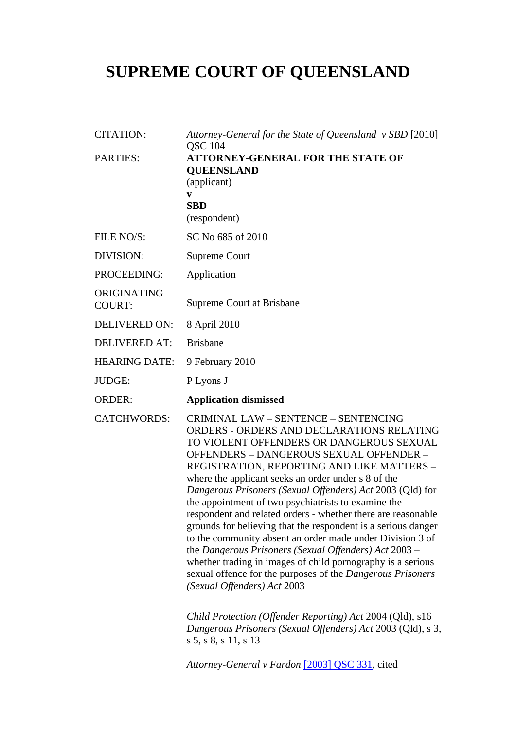# **SUPREME COURT OF QUEENSLAND**

| <b>CITATION:</b>             | Attorney-General for the State of Queensland v SBD [2010]<br><b>QSC 104</b>                                                                                                                                                                                                                                                                                                                                                                                                                                                                                                                                                                                                                                                                                                                                                 |
|------------------------------|-----------------------------------------------------------------------------------------------------------------------------------------------------------------------------------------------------------------------------------------------------------------------------------------------------------------------------------------------------------------------------------------------------------------------------------------------------------------------------------------------------------------------------------------------------------------------------------------------------------------------------------------------------------------------------------------------------------------------------------------------------------------------------------------------------------------------------|
| <b>PARTIES:</b>              | <b>ATTORNEY-GENERAL FOR THE STATE OF</b><br><b>QUEENSLAND</b><br>(applicant)                                                                                                                                                                                                                                                                                                                                                                                                                                                                                                                                                                                                                                                                                                                                                |
|                              | V                                                                                                                                                                                                                                                                                                                                                                                                                                                                                                                                                                                                                                                                                                                                                                                                                           |
|                              | <b>SBD</b><br>(respondent)                                                                                                                                                                                                                                                                                                                                                                                                                                                                                                                                                                                                                                                                                                                                                                                                  |
| FILE NO/S:                   | SC No 685 of 2010                                                                                                                                                                                                                                                                                                                                                                                                                                                                                                                                                                                                                                                                                                                                                                                                           |
| DIVISION:                    | <b>Supreme Court</b>                                                                                                                                                                                                                                                                                                                                                                                                                                                                                                                                                                                                                                                                                                                                                                                                        |
| PROCEEDING:                  | Application                                                                                                                                                                                                                                                                                                                                                                                                                                                                                                                                                                                                                                                                                                                                                                                                                 |
| ORIGINATING<br><b>COURT:</b> | Supreme Court at Brisbane                                                                                                                                                                                                                                                                                                                                                                                                                                                                                                                                                                                                                                                                                                                                                                                                   |
| <b>DELIVERED ON:</b>         | 8 April 2010                                                                                                                                                                                                                                                                                                                                                                                                                                                                                                                                                                                                                                                                                                                                                                                                                |
| <b>DELIVERED AT:</b>         | <b>Brisbane</b>                                                                                                                                                                                                                                                                                                                                                                                                                                                                                                                                                                                                                                                                                                                                                                                                             |
| <b>HEARING DATE:</b>         | 9 February 2010                                                                                                                                                                                                                                                                                                                                                                                                                                                                                                                                                                                                                                                                                                                                                                                                             |
| JUDGE:                       | P Lyons J                                                                                                                                                                                                                                                                                                                                                                                                                                                                                                                                                                                                                                                                                                                                                                                                                   |
| <b>ORDER:</b>                | <b>Application dismissed</b>                                                                                                                                                                                                                                                                                                                                                                                                                                                                                                                                                                                                                                                                                                                                                                                                |
| <b>CATCHWORDS:</b>           | <b>CRIMINAL LAW - SENTENCE - SENTENCING</b><br>ORDERS - ORDERS AND DECLARATIONS RELATING<br>TO VIOLENT OFFENDERS OR DANGEROUS SEXUAL<br>OFFENDERS - DANGEROUS SEXUAL OFFENDER -<br>REGISTRATION, REPORTING AND LIKE MATTERS -<br>where the applicant seeks an order under s 8 of the<br>Dangerous Prisoners (Sexual Offenders) Act 2003 (Qld) for<br>the appointment of two psychiatrists to examine the<br>respondent and related orders - whether there are reasonable<br>grounds for believing that the respondent is a serious danger<br>to the community absent an order made under Division 3 of<br>the Dangerous Prisoners (Sexual Offenders) Act 2003 -<br>whether trading in images of child pornography is a serious<br>sexual offence for the purposes of the Dangerous Prisoners<br>(Sexual Offenders) Act 2003 |
|                              | Child Protection (Offender Reporting) Act 2004 (Qld), s16<br>Dangerous Prisoners (Sexual Offenders) Act 2003 (Qld), s 3,<br>s 5, s 8, s 11, s 13                                                                                                                                                                                                                                                                                                                                                                                                                                                                                                                                                                                                                                                                            |
|                              | Attorney-General v Fardon [2003] QSC 331, cited                                                                                                                                                                                                                                                                                                                                                                                                                                                                                                                                                                                                                                                                                                                                                                             |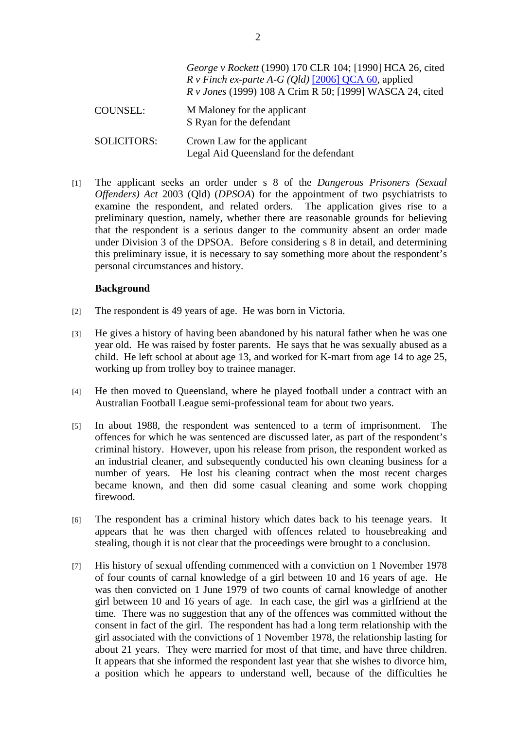|                    | George v Rockett (1990) 170 CLR 104; [1990] HCA 26, cited<br>$R \, v$ Finch ex-parte A-G (Qld) [2006] QCA 60, applied<br><i>R v Jones</i> (1999) 108 A Crim R 50; [1999] WASCA 24, cited |
|--------------------|------------------------------------------------------------------------------------------------------------------------------------------------------------------------------------------|
| <b>COUNSEL:</b>    | M Maloney for the applicant<br>S Ryan for the defendant                                                                                                                                  |
| <b>SOLICITORS:</b> | Crown Law for the applicant<br>Legal Aid Queensland for the defendant                                                                                                                    |

[1] The applicant seeks an order under s 8 of the *Dangerous Prisoners (Sexual Offenders) Act* 2003 (Qld) (*DPSOA*) for the appointment of two psychiatrists to examine the respondent, and related orders. The application gives rise to a preliminary question, namely, whether there are reasonable grounds for believing that the respondent is a serious danger to the community absent an order made under Division 3 of the DPSOA. Before considering s 8 in detail, and determining this preliminary issue, it is necessary to say something more about the respondent's personal circumstances and history.

#### **Background**

- [2] The respondent is 49 years of age. He was born in Victoria.
- [3] He gives a history of having been abandoned by his natural father when he was one year old. He was raised by foster parents. He says that he was sexually abused as a child. He left school at about age 13, and worked for K-mart from age 14 to age 25, working up from trolley boy to trainee manager.
- [4] He then moved to Queensland, where he played football under a contract with an Australian Football League semi-professional team for about two years.
- [5] In about 1988, the respondent was sentenced to a term of imprisonment. The offences for which he was sentenced are discussed later, as part of the respondent's criminal history. However, upon his release from prison, the respondent worked as an industrial cleaner, and subsequently conducted his own cleaning business for a number of years. He lost his cleaning contract when the most recent charges became known, and then did some casual cleaning and some work chopping firewood.
- [6] The respondent has a criminal history which dates back to his teenage years. It appears that he was then charged with offences related to housebreaking and stealing, though it is not clear that the proceedings were brought to a conclusion.
- [7] His history of sexual offending commenced with a conviction on 1 November 1978 of four counts of carnal knowledge of a girl between 10 and 16 years of age. He was then convicted on 1 June 1979 of two counts of carnal knowledge of another girl between 10 and 16 years of age. In each case, the girl was a girlfriend at the time. There was no suggestion that any of the offences was committed without the consent in fact of the girl. The respondent has had a long term relationship with the girl associated with the convictions of 1 November 1978, the relationship lasting for about 21 years. They were married for most of that time, and have three children. It appears that she informed the respondent last year that she wishes to divorce him, a position which he appears to understand well, because of the difficulties he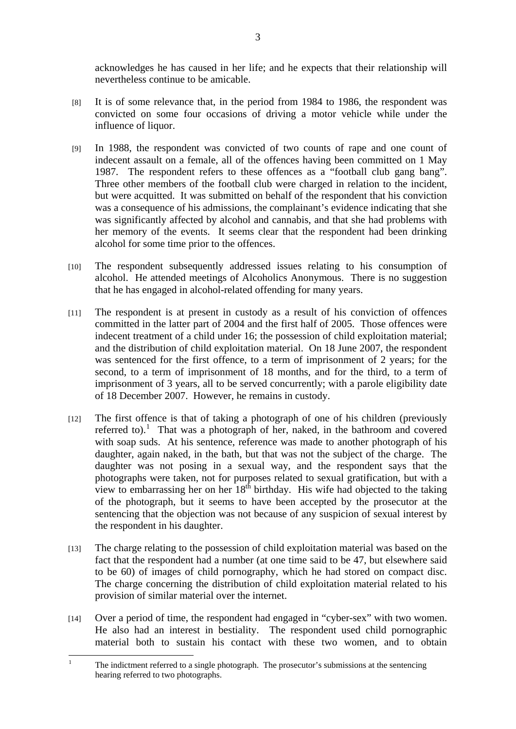acknowledges he has caused in her life; and he expects that their relationship will nevertheless continue to be amicable.

- [8] It is of some relevance that, in the period from 1984 to 1986, the respondent was convicted on some four occasions of driving a motor vehicle while under the influence of liquor.
- [9] In 1988, the respondent was convicted of two counts of rape and one count of indecent assault on a female, all of the offences having been committed on 1 May 1987. The respondent refers to these offences as a "football club gang bang". Three other members of the football club were charged in relation to the incident, but were acquitted. It was submitted on behalf of the respondent that his conviction was a consequence of his admissions, the complainant's evidence indicating that she was significantly affected by alcohol and cannabis, and that she had problems with her memory of the events. It seems clear that the respondent had been drinking alcohol for some time prior to the offences.
- [10] The respondent subsequently addressed issues relating to his consumption of alcohol. He attended meetings of Alcoholics Anonymous. There is no suggestion that he has engaged in alcohol-related offending for many years.
- [11] The respondent is at present in custody as a result of his conviction of offences committed in the latter part of 2004 and the first half of 2005. Those offences were indecent treatment of a child under 16; the possession of child exploitation material; and the distribution of child exploitation material. On 18 June 2007, the respondent was sentenced for the first offence, to a term of imprisonment of 2 years; for the second, to a term of imprisonment of 18 months, and for the third, to a term of imprisonment of 3 years, all to be served concurrently; with a parole eligibility date of 18 December 2007. However, he remains in custody.
- [12] The first offence is that of taking a photograph of one of his children (previously referred to).<sup>1</sup> That was a photograph of her, naked, in the bathroom and covered with soap suds. At his sentence, reference was made to another photograph of his daughter, again naked, in the bath, but that was not the subject of the charge. The daughter was not posing in a sexual way, and the respondent says that the photographs were taken, not for purposes related to sexual gratification, but with a view to embarrassing her on her  $18<sup>th</sup>$  birthday. His wife had objected to the taking of the photograph, but it seems to have been accepted by the prosecutor at the sentencing that the objection was not because of any suspicion of sexual interest by the respondent in his daughter.
- [13] The charge relating to the possession of child exploitation material was based on the fact that the respondent had a number (at one time said to be 47, but elsewhere said to be 60) of images of child pornography, which he had stored on compact disc. The charge concerning the distribution of child exploitation material related to his provision of similar material over the internet.
- [14] Over a period of time, the respondent had engaged in "cyber-sex" with two women. He also had an interest in bestiality. The respondent used child pornographic material both to sustain his contact with these two women, and to obtain

 $\frac{1}{1}$  The indictment referred to a single photograph. The prosecutor's submissions at the sentencing hearing referred to two photographs.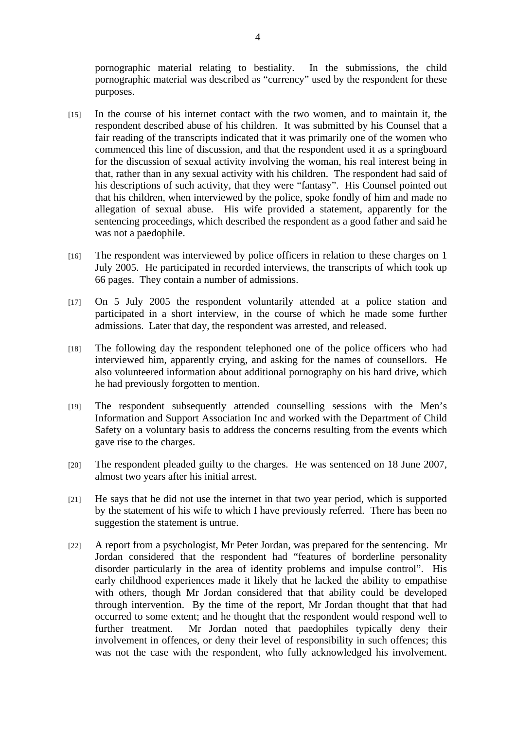pornographic material relating to bestiality. In the submissions, the child pornographic material was described as "currency" used by the respondent for these purposes.

- [15] In the course of his internet contact with the two women, and to maintain it, the respondent described abuse of his children. It was submitted by his Counsel that a fair reading of the transcripts indicated that it was primarily one of the women who commenced this line of discussion, and that the respondent used it as a springboard for the discussion of sexual activity involving the woman, his real interest being in that, rather than in any sexual activity with his children. The respondent had said of his descriptions of such activity, that they were "fantasy". His Counsel pointed out that his children, when interviewed by the police, spoke fondly of him and made no allegation of sexual abuse. His wife provided a statement, apparently for the sentencing proceedings, which described the respondent as a good father and said he was not a paedophile.
- [16] The respondent was interviewed by police officers in relation to these charges on 1 July 2005. He participated in recorded interviews, the transcripts of which took up 66 pages. They contain a number of admissions.
- [17] On 5 July 2005 the respondent voluntarily attended at a police station and participated in a short interview, in the course of which he made some further admissions. Later that day, the respondent was arrested, and released.
- [18] The following day the respondent telephoned one of the police officers who had interviewed him, apparently crying, and asking for the names of counsellors. He also volunteered information about additional pornography on his hard drive, which he had previously forgotten to mention.
- [19] The respondent subsequently attended counselling sessions with the Men's Information and Support Association Inc and worked with the Department of Child Safety on a voluntary basis to address the concerns resulting from the events which gave rise to the charges.
- [20] The respondent pleaded guilty to the charges. He was sentenced on 18 June 2007, almost two years after his initial arrest.
- [21] He says that he did not use the internet in that two year period, which is supported by the statement of his wife to which I have previously referred. There has been no suggestion the statement is untrue.
- [22] A report from a psychologist, Mr Peter Jordan, was prepared for the sentencing. Mr Jordan considered that the respondent had "features of borderline personality disorder particularly in the area of identity problems and impulse control". His early childhood experiences made it likely that he lacked the ability to empathise with others, though Mr Jordan considered that that ability could be developed through intervention. By the time of the report, Mr Jordan thought that that had occurred to some extent; and he thought that the respondent would respond well to further treatment. Mr Jordan noted that paedophiles typically deny their involvement in offences, or deny their level of responsibility in such offences; this was not the case with the respondent, who fully acknowledged his involvement.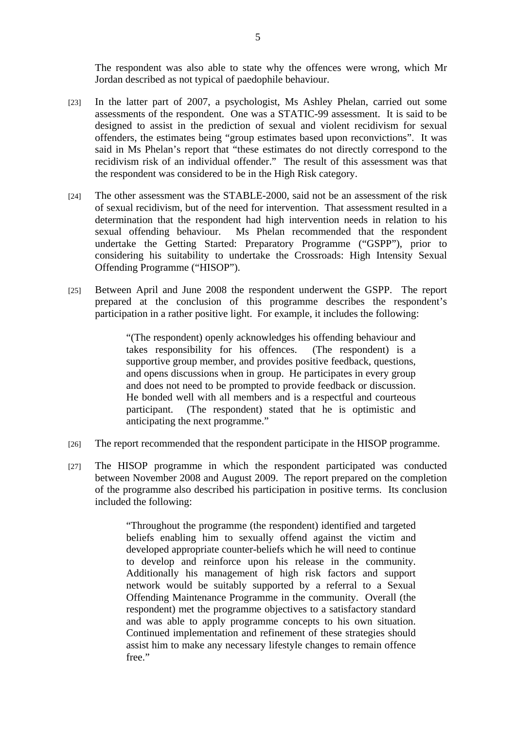The respondent was also able to state why the offences were wrong, which Mr Jordan described as not typical of paedophile behaviour.

- [23] In the latter part of 2007, a psychologist, Ms Ashley Phelan, carried out some assessments of the respondent. One was a STATIC-99 assessment. It is said to be designed to assist in the prediction of sexual and violent recidivism for sexual offenders, the estimates being "group estimates based upon reconvictions". It was said in Ms Phelan's report that "these estimates do not directly correspond to the recidivism risk of an individual offender." The result of this assessment was that the respondent was considered to be in the High Risk category.
- [24] The other assessment was the STABLE-2000, said not be an assessment of the risk of sexual recidivism, but of the need for intervention. That assessment resulted in a determination that the respondent had high intervention needs in relation to his sexual offending behaviour. Ms Phelan recommended that the respondent undertake the Getting Started: Preparatory Programme ("GSPP"), prior to considering his suitability to undertake the Crossroads: High Intensity Sexual Offending Programme ("HISOP").
- [25] Between April and June 2008 the respondent underwent the GSPP. The report prepared at the conclusion of this programme describes the respondent's participation in a rather positive light. For example, it includes the following:

"(The respondent) openly acknowledges his offending behaviour and takes responsibility for his offences. (The respondent) is a supportive group member, and provides positive feedback, questions, and opens discussions when in group. He participates in every group and does not need to be prompted to provide feedback or discussion. He bonded well with all members and is a respectful and courteous participant. (The respondent) stated that he is optimistic and anticipating the next programme."

- [26] The report recommended that the respondent participate in the HISOP programme.
- [27] The HISOP programme in which the respondent participated was conducted between November 2008 and August 2009. The report prepared on the completion of the programme also described his participation in positive terms. Its conclusion included the following:

"Throughout the programme (the respondent) identified and targeted beliefs enabling him to sexually offend against the victim and developed appropriate counter-beliefs which he will need to continue to develop and reinforce upon his release in the community. Additionally his management of high risk factors and support network would be suitably supported by a referral to a Sexual Offending Maintenance Programme in the community. Overall (the respondent) met the programme objectives to a satisfactory standard and was able to apply programme concepts to his own situation. Continued implementation and refinement of these strategies should assist him to make any necessary lifestyle changes to remain offence free."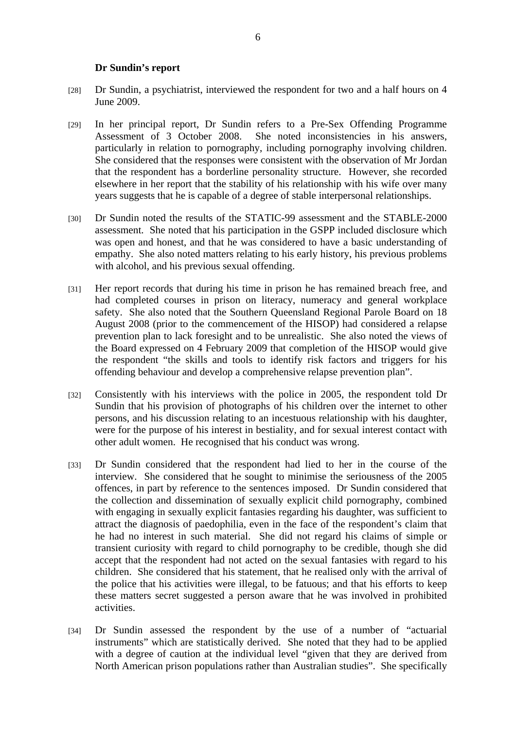#### **Dr Sundin's report**

- [28] Dr Sundin, a psychiatrist, interviewed the respondent for two and a half hours on 4 June 2009.
- [29] In her principal report, Dr Sundin refers to a Pre-Sex Offending Programme Assessment of 3 October 2008. She noted inconsistencies in his answers, particularly in relation to pornography, including pornography involving children. She considered that the responses were consistent with the observation of Mr Jordan that the respondent has a borderline personality structure. However, she recorded elsewhere in her report that the stability of his relationship with his wife over many years suggests that he is capable of a degree of stable interpersonal relationships.
- [30] Dr Sundin noted the results of the STATIC-99 assessment and the STABLE-2000 assessment. She noted that his participation in the GSPP included disclosure which was open and honest, and that he was considered to have a basic understanding of empathy. She also noted matters relating to his early history, his previous problems with alcohol, and his previous sexual offending.
- [31] Her report records that during his time in prison he has remained breach free, and had completed courses in prison on literacy, numeracy and general workplace safety. She also noted that the Southern Queensland Regional Parole Board on 18 August 2008 (prior to the commencement of the HISOP) had considered a relapse prevention plan to lack foresight and to be unrealistic. She also noted the views of the Board expressed on 4 February 2009 that completion of the HISOP would give the respondent "the skills and tools to identify risk factors and triggers for his offending behaviour and develop a comprehensive relapse prevention plan".
- [32] Consistently with his interviews with the police in 2005, the respondent told Dr Sundin that his provision of photographs of his children over the internet to other persons, and his discussion relating to an incestuous relationship with his daughter, were for the purpose of his interest in bestiality, and for sexual interest contact with other adult women. He recognised that his conduct was wrong.
- [33] Dr Sundin considered that the respondent had lied to her in the course of the interview. She considered that he sought to minimise the seriousness of the 2005 offences, in part by reference to the sentences imposed. Dr Sundin considered that the collection and dissemination of sexually explicit child pornography, combined with engaging in sexually explicit fantasies regarding his daughter, was sufficient to attract the diagnosis of paedophilia, even in the face of the respondent's claim that he had no interest in such material. She did not regard his claims of simple or transient curiosity with regard to child pornography to be credible, though she did accept that the respondent had not acted on the sexual fantasies with regard to his children. She considered that his statement, that he realised only with the arrival of the police that his activities were illegal, to be fatuous; and that his efforts to keep these matters secret suggested a person aware that he was involved in prohibited activities.
- [34] Dr Sundin assessed the respondent by the use of a number of "actuarial instruments" which are statistically derived. She noted that they had to be applied with a degree of caution at the individual level "given that they are derived from North American prison populations rather than Australian studies". She specifically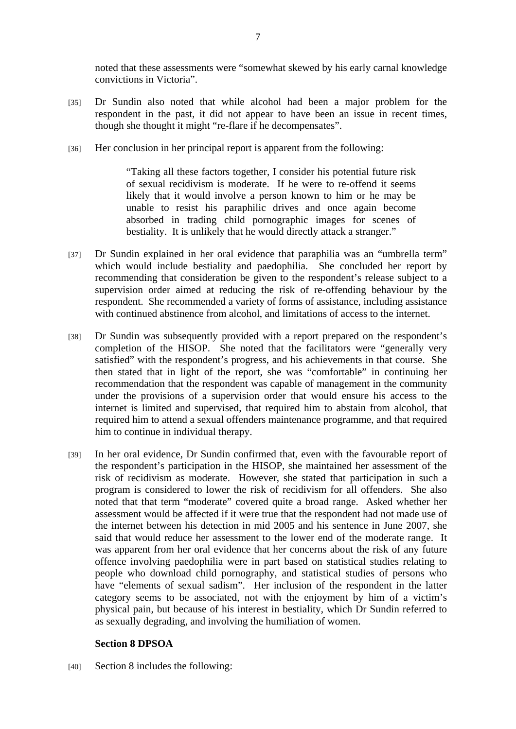noted that these assessments were "somewhat skewed by his early carnal knowledge convictions in Victoria".

- [35] Dr Sundin also noted that while alcohol had been a major problem for the respondent in the past, it did not appear to have been an issue in recent times, though she thought it might "re-flare if he decompensates".
- [36] Her conclusion in her principal report is apparent from the following:

"Taking all these factors together, I consider his potential future risk of sexual recidivism is moderate. If he were to re-offend it seems likely that it would involve a person known to him or he may be unable to resist his paraphilic drives and once again become absorbed in trading child pornographic images for scenes of bestiality. It is unlikely that he would directly attack a stranger."

- [37] Dr Sundin explained in her oral evidence that paraphilia was an "umbrella term" which would include bestiality and paedophilia. She concluded her report by recommending that consideration be given to the respondent's release subject to a supervision order aimed at reducing the risk of re-offending behaviour by the respondent. She recommended a variety of forms of assistance, including assistance with continued abstinence from alcohol, and limitations of access to the internet.
- [38] Dr Sundin was subsequently provided with a report prepared on the respondent's completion of the HISOP. She noted that the facilitators were "generally very satisfied" with the respondent's progress, and his achievements in that course. She then stated that in light of the report, she was "comfortable" in continuing her recommendation that the respondent was capable of management in the community under the provisions of a supervision order that would ensure his access to the internet is limited and supervised, that required him to abstain from alcohol, that required him to attend a sexual offenders maintenance programme, and that required him to continue in individual therapy.
- [39] In her oral evidence, Dr Sundin confirmed that, even with the favourable report of the respondent's participation in the HISOP, she maintained her assessment of the risk of recidivism as moderate. However, she stated that participation in such a program is considered to lower the risk of recidivism for all offenders. She also noted that that term "moderate" covered quite a broad range. Asked whether her assessment would be affected if it were true that the respondent had not made use of the internet between his detection in mid 2005 and his sentence in June 2007, she said that would reduce her assessment to the lower end of the moderate range. It was apparent from her oral evidence that her concerns about the risk of any future offence involving paedophilia were in part based on statistical studies relating to people who download child pornography, and statistical studies of persons who have "elements of sexual sadism". Her inclusion of the respondent in the latter category seems to be associated, not with the enjoyment by him of a victim's physical pain, but because of his interest in bestiality, which Dr Sundin referred to as sexually degrading, and involving the humiliation of women.

## **Section 8 DPSOA**

[40] Section 8 includes the following: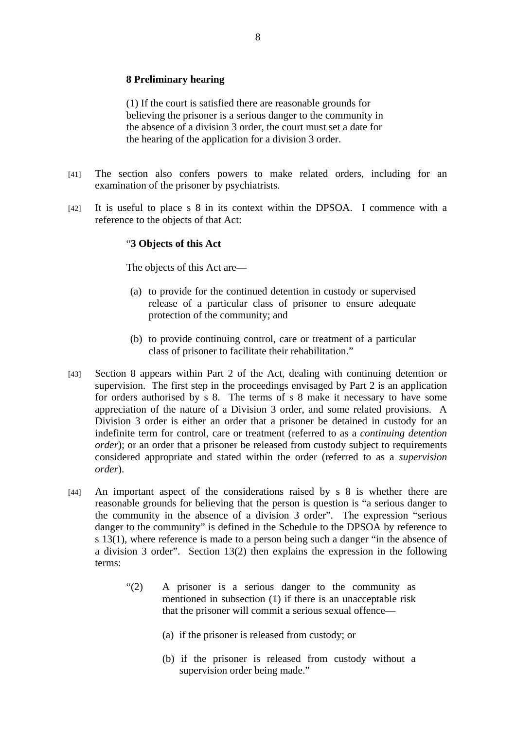## **8 Preliminary hearing**

(1) If the court is satisfied there are reasonable grounds for believing the prisoner is a serious danger to the community in the absence of a division 3 order, the court must set a date for the hearing of the application for a division 3 order.

- [41] The section also confers powers to make related orders, including for an examination of the prisoner by psychiatrists.
- [42] It is useful to place s 8 in its context within the DPSOA. I commence with a reference to the objects of that Act:

#### "**3 Objects of this Act**

The objects of this Act are—

- (a) to provide for the continued detention in custody or supervised release of a particular class of prisoner to ensure adequate protection of the community; and
- (b) to provide continuing control, care or treatment of a particular class of prisoner to facilitate their rehabilitation."
- [43] Section 8 appears within Part 2 of the Act, dealing with continuing detention or supervision. The first step in the proceedings envisaged by Part 2 is an application for orders authorised by s 8. The terms of s 8 make it necessary to have some appreciation of the nature of a Division 3 order, and some related provisions. A Division 3 order is either an order that a prisoner be detained in custody for an indefinite term for control, care or treatment (referred to as a *continuing detention order*); or an order that a prisoner be released from custody subject to requirements considered appropriate and stated within the order (referred to as a *supervision order*).
- [44] An important aspect of the considerations raised by s 8 is whether there are reasonable grounds for believing that the person is question is "a serious danger to the community in the absence of a division 3 order". The expression "serious danger to the community" is defined in the Schedule to the DPSOA by reference to s 13(1), where reference is made to a person being such a danger "in the absence of a division 3 order". Section 13(2) then explains the expression in the following terms:
	- "(2) A prisoner is a serious danger to the community as mentioned in subsection (1) if there is an unacceptable risk that the prisoner will commit a serious sexual offence—
		- (a) if the prisoner is released from custody; or
		- (b) if the prisoner is released from custody without a supervision order being made."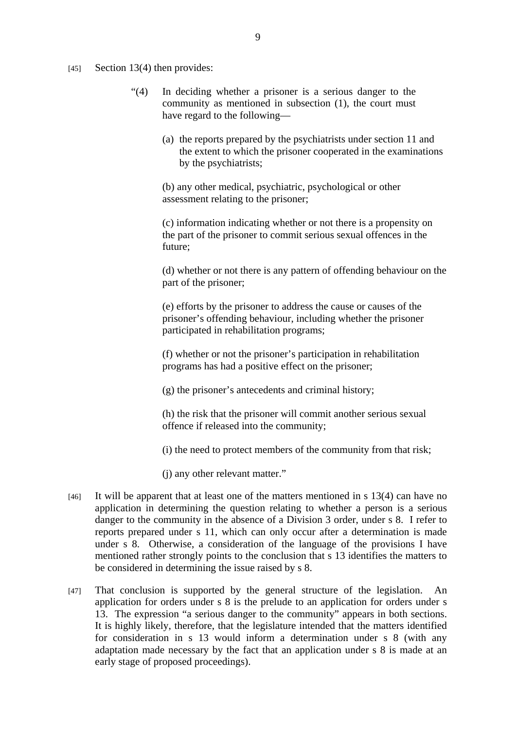$[45]$  Section 13(4) then provides:

- "(4) In deciding whether a prisoner is a serious danger to the community as mentioned in subsection (1), the court must have regard to the following—
	- (a) the reports prepared by the psychiatrists under section 11 and the extent to which the prisoner cooperated in the examinations by the psychiatrists;

(b) any other medical, psychiatric, psychological or other assessment relating to the prisoner;

(c) information indicating whether or not there is a propensity on the part of the prisoner to commit serious sexual offences in the future;

(d) whether or not there is any pattern of offending behaviour on the part of the prisoner;

(e) efforts by the prisoner to address the cause or causes of the prisoner's offending behaviour, including whether the prisoner participated in rehabilitation programs;

(f) whether or not the prisoner's participation in rehabilitation programs has had a positive effect on the prisoner;

(g) the prisoner's antecedents and criminal history;

(h) the risk that the prisoner will commit another serious sexual offence if released into the community;

(i) the need to protect members of the community from that risk;

(j) any other relevant matter."

- [46] It will be apparent that at least one of the matters mentioned in s 13(4) can have no application in determining the question relating to whether a person is a serious danger to the community in the absence of a Division 3 order, under s 8. I refer to reports prepared under s 11, which can only occur after a determination is made under s 8. Otherwise, a consideration of the language of the provisions I have mentioned rather strongly points to the conclusion that s 13 identifies the matters to be considered in determining the issue raised by s 8.
- [47] That conclusion is supported by the general structure of the legislation. An application for orders under s 8 is the prelude to an application for orders under s 13. The expression "a serious danger to the community" appears in both sections. It is highly likely, therefore, that the legislature intended that the matters identified for consideration in s 13 would inform a determination under s 8 (with any adaptation made necessary by the fact that an application under s 8 is made at an early stage of proposed proceedings).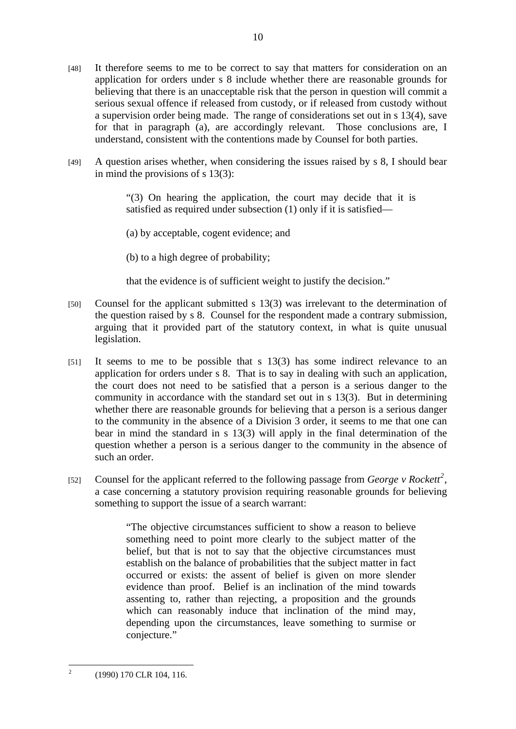- [48] It therefore seems to me to be correct to say that matters for consideration on an application for orders under s 8 include whether there are reasonable grounds for believing that there is an unacceptable risk that the person in question will commit a serious sexual offence if released from custody, or if released from custody without a supervision order being made. The range of considerations set out in s 13(4), save for that in paragraph (a), are accordingly relevant. Those conclusions are, I understand, consistent with the contentions made by Counsel for both parties.
- [49] A question arises whether, when considering the issues raised by s 8, I should bear in mind the provisions of s 13(3):

"(3) On hearing the application, the court may decide that it is satisfied as required under subsection (1) only if it is satisfied—

(a) by acceptable, cogent evidence; and

(b) to a high degree of probability;

that the evidence is of sufficient weight to justify the decision."

- [50] Counsel for the applicant submitted s 13(3) was irrelevant to the determination of the question raised by s 8. Counsel for the respondent made a contrary submission, arguing that it provided part of the statutory context, in what is quite unusual legislation.
- [51] It seems to me to be possible that s 13(3) has some indirect relevance to an application for orders under s 8. That is to say in dealing with such an application, the court does not need to be satisfied that a person is a serious danger to the community in accordance with the standard set out in s 13(3). But in determining whether there are reasonable grounds for believing that a person is a serious danger to the community in the absence of a Division 3 order, it seems to me that one can bear in mind the standard in s 13(3) will apply in the final determination of the question whether a person is a serious danger to the community in the absence of such an order.
- [52] Counsel for the applicant referred to the following passage from *George v Rockett*<sup>2</sup>, a case concerning a statutory provision requiring reasonable grounds for believing something to support the issue of a search warrant:

"The objective circumstances sufficient to show a reason to believe something need to point more clearly to the subject matter of the belief, but that is not to say that the objective circumstances must establish on the balance of probabilities that the subject matter in fact occurred or exists: the assent of belief is given on more slender evidence than proof. Belief is an inclination of the mind towards assenting to, rather than rejecting, a proposition and the grounds which can reasonably induce that inclination of the mind may, depending upon the circumstances, leave something to surmise or conjecture."

 $\frac{1}{2}$ (1990) 170 CLR 104, 116.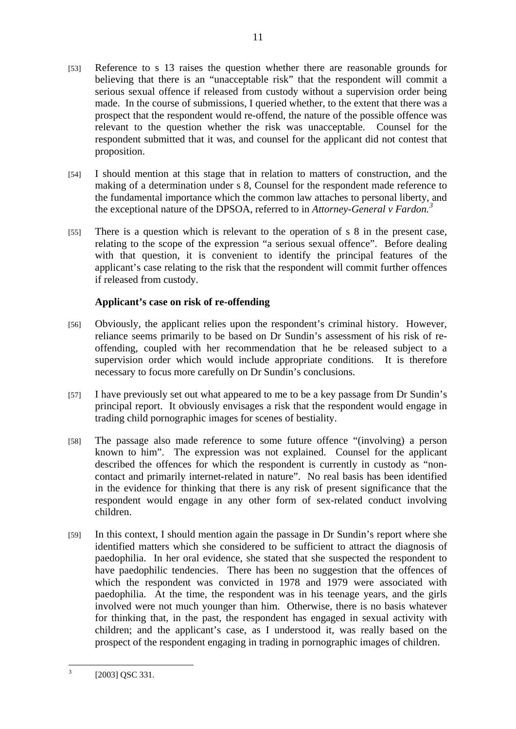[53] Reference to s 13 raises the question whether there are reasonable grounds for believing that there is an "unacceptable risk" that the respondent will commit a serious sexual offence if released from custody without a supervision order being made. In the course of submissions, I queried whether, to the extent that there was a prospect that the respondent would re-offend, the nature of the possible offence was relevant to the question whether the risk was unacceptable. Counsel for the respondent submitted that it was, and counsel for the applicant did not contest that proposition.

11

- [54] I should mention at this stage that in relation to matters of construction, and the making of a determination under s 8, Counsel for the respondent made reference to the fundamental importance which the common law attaches to personal liberty, and the exceptional nature of the DPSOA, referred to in *Attorney-General v Fardon.<sup>3</sup>*
- [55] There is a question which is relevant to the operation of s 8 in the present case, relating to the scope of the expression "a serious sexual offence". Before dealing with that question, it is convenient to identify the principal features of the applicant's case relating to the risk that the respondent will commit further offences if released from custody.

# **Applicant's case on risk of re-offending**

- [56] Obviously, the applicant relies upon the respondent's criminal history. However, reliance seems primarily to be based on Dr Sundin's assessment of his risk of reoffending, coupled with her recommendation that he be released subject to a supervision order which would include appropriate conditions. It is therefore necessary to focus more carefully on Dr Sundin's conclusions.
- [57] I have previously set out what appeared to me to be a key passage from Dr Sundin's principal report. It obviously envisages a risk that the respondent would engage in trading child pornographic images for scenes of bestiality.
- [58] The passage also made reference to some future offence "(involving) a person known to him". The expression was not explained. Counsel for the applicant described the offences for which the respondent is currently in custody as "noncontact and primarily internet-related in nature". No real basis has been identified in the evidence for thinking that there is any risk of present significance that the respondent would engage in any other form of sex-related conduct involving children.
- [59] In this context, I should mention again the passage in Dr Sundin's report where she identified matters which she considered to be sufficient to attract the diagnosis of paedophilia. In her oral evidence, she stated that she suspected the respondent to have paedophilic tendencies. There has been no suggestion that the offences of which the respondent was convicted in 1978 and 1979 were associated with paedophilia. At the time, the respondent was in his teenage years, and the girls involved were not much younger than him. Otherwise, there is no basis whatever for thinking that, in the past, the respondent has engaged in sexual activity with children; and the applicant's case, as I understood it, was really based on the prospect of the respondent engaging in trading in pornographic images of children.

<sup>&</sup>lt;sup>2</sup><br>3 [2003] QSC 331.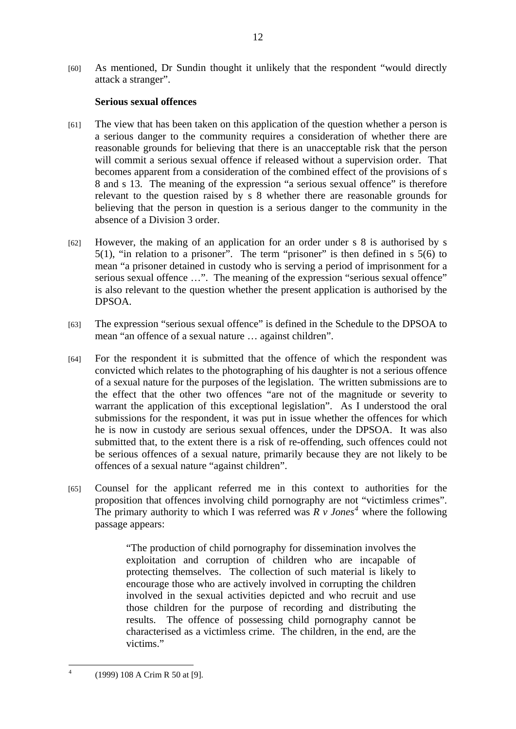# **Serious sexual offences**

- [61] The view that has been taken on this application of the question whether a person is a serious danger to the community requires a consideration of whether there are reasonable grounds for believing that there is an unacceptable risk that the person will commit a serious sexual offence if released without a supervision order. That becomes apparent from a consideration of the combined effect of the provisions of s 8 and s 13. The meaning of the expression "a serious sexual offence" is therefore relevant to the question raised by s 8 whether there are reasonable grounds for believing that the person in question is a serious danger to the community in the absence of a Division 3 order.
- [62] However, the making of an application for an order under s 8 is authorised by s 5(1), "in relation to a prisoner". The term "prisoner" is then defined in s 5(6) to mean "a prisoner detained in custody who is serving a period of imprisonment for a serious sexual offence ...". The meaning of the expression "serious sexual offence" is also relevant to the question whether the present application is authorised by the DPSOA.
- [63] The expression "serious sexual offence" is defined in the Schedule to the DPSOA to mean "an offence of a sexual nature … against children".
- [64] For the respondent it is submitted that the offence of which the respondent was convicted which relates to the photographing of his daughter is not a serious offence of a sexual nature for the purposes of the legislation. The written submissions are to the effect that the other two offences "are not of the magnitude or severity to warrant the application of this exceptional legislation". As I understood the oral submissions for the respondent, it was put in issue whether the offences for which he is now in custody are serious sexual offences, under the DPSOA. It was also submitted that, to the extent there is a risk of re-offending, such offences could not be serious offences of a sexual nature, primarily because they are not likely to be offences of a sexual nature "against children".
- [65] Counsel for the applicant referred me in this context to authorities for the proposition that offences involving child pornography are not "victimless crimes". The primary authority to which I was referred was  $\overline{R}$  v *Jones*<sup>4</sup> where the following passage appears:

"The production of child pornography for dissemination involves the exploitation and corruption of children who are incapable of protecting themselves. The collection of such material is likely to encourage those who are actively involved in corrupting the children involved in the sexual activities depicted and who recruit and use those children for the purpose of recording and distributing the results. The offence of possessing child pornography cannot be characterised as a victimless crime. The children, in the end, are the victims."

 $\frac{1}{4}$ 

 <sup>(1999) 108</sup> A Crim R 50 at [9].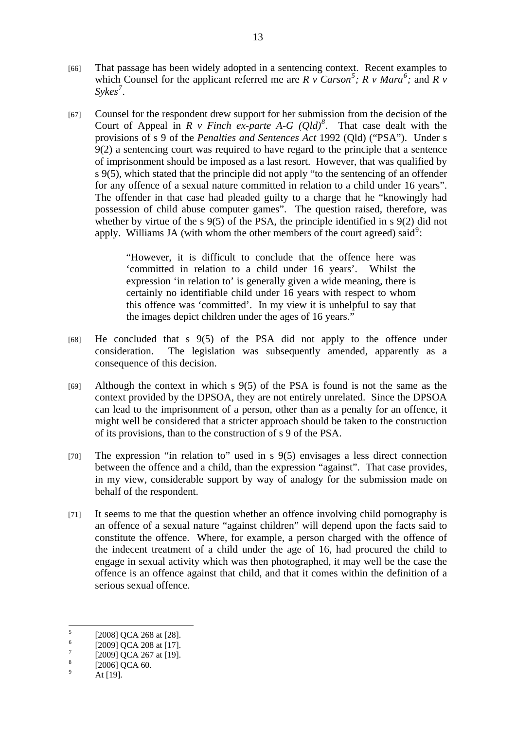- [66] That passage has been widely adopted in a sentencing context. Recent examples to which Counsel for the applicant referred me are  $R \vee Carson^5$ ;  $R \vee Mara^6$ ; and  $R \vee$ *Sykes<sup>7</sup> .*
- [67] Counsel for the respondent drew support for her submission from the decision of the Court of Appeal in  $R \vee$  Finch ex-parte A-G  $(Qld)^8$ . That case dealt with the provisions of s 9 of the *Penalties and Sentences Act* 1992 (Qld) ("PSA"). Under s 9(2) a sentencing court was required to have regard to the principle that a sentence of imprisonment should be imposed as a last resort. However, that was qualified by s 9(5), which stated that the principle did not apply "to the sentencing of an offender for any offence of a sexual nature committed in relation to a child under 16 years". The offender in that case had pleaded guilty to a charge that he "knowingly had possession of child abuse computer games". The question raised, therefore, was whether by virtue of the s 9(5) of the PSA, the principle identified in s 9(2) did not apply. Williams JA (with whom the other members of the court agreed) said<sup>9</sup>:

"However, it is difficult to conclude that the offence here was 'committed in relation to a child under 16 years'. Whilst the expression 'in relation to' is generally given a wide meaning, there is certainly no identifiable child under 16 years with respect to whom this offence was 'committed'. In my view it is unhelpful to say that the images depict children under the ages of 16 years."

- [68] He concluded that s 9(5) of the PSA did not apply to the offence under consideration. The legislation was subsequently amended, apparently as a consequence of this decision.
- [69] Although the context in which s 9(5) of the PSA is found is not the same as the context provided by the DPSOA, they are not entirely unrelated. Since the DPSOA can lead to the imprisonment of a person, other than as a penalty for an offence, it might well be considered that a stricter approach should be taken to the construction of its provisions, than to the construction of s 9 of the PSA.
- [70] The expression "in relation to" used in s 9(5) envisages a less direct connection between the offence and a child, than the expression "against". That case provides, in my view, considerable support by way of analogy for the submission made on behalf of the respondent.
- [71] It seems to me that the question whether an offence involving child pornography is an offence of a sexual nature "against children" will depend upon the facts said to constitute the offence. Where, for example, a person charged with the offence of the indecent treatment of a child under the age of 16, had procured the child to engage in sexual activity which was then photographed, it may well be the case the offence is an offence against that child, and that it comes within the definition of a serious sexual offence.

 5 [2008] QCA 268 at [28].

<sup>6</sup> [2009] QCA 208 at [17].

<sup>7</sup> [2009] QCA 267 at [19].

<sup>8</sup> [2006] QCA 60.

 $\alpha$ At [19].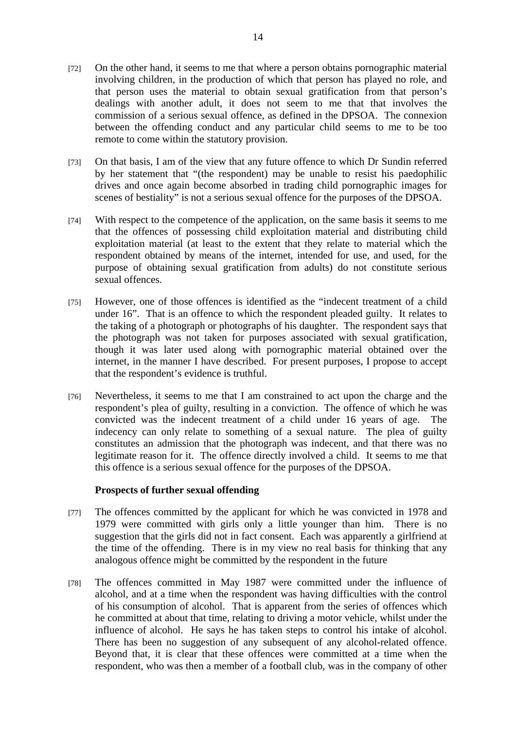- [72] On the other hand, it seems to me that where a person obtains pornographic material involving children, in the production of which that person has played no role, and that person uses the material to obtain sexual gratification from that person's dealings with another adult, it does not seem to me that that involves the commission of a serious sexual offence, as defined in the DPSOA. The connexion between the offending conduct and any particular child seems to me to be too remote to come within the statutory provision.
- [73] On that basis, I am of the view that any future offence to which Dr Sundin referred by her statement that "(the respondent) may be unable to resist his paedophilic drives and once again become absorbed in trading child pornographic images for scenes of bestiality" is not a serious sexual offence for the purposes of the DPSOA.
- [74] With respect to the competence of the application, on the same basis it seems to me that the offences of possessing child exploitation material and distributing child exploitation material (at least to the extent that they relate to material which the respondent obtained by means of the internet, intended for use, and used, for the purpose of obtaining sexual gratification from adults) do not constitute serious sexual offences.
- [75] However, one of those offences is identified as the "indecent treatment of a child under 16". That is an offence to which the respondent pleaded guilty. It relates to the taking of a photograph or photographs of his daughter. The respondent says that the photograph was not taken for purposes associated with sexual gratification, though it was later used along with pornographic material obtained over the internet, in the manner I have described. For present purposes, I propose to accept that the respondent's evidence is truthful.
- [76] Nevertheless, it seems to me that I am constrained to act upon the charge and the respondent's plea of guilty, resulting in a conviction. The offence of which he was convicted was the indecent treatment of a child under 16 years of age. The indecency can only relate to something of a sexual nature. The plea of guilty constitutes an admission that the photograph was indecent, and that there was no legitimate reason for it. The offence directly involved a child. It seems to me that this offence is a serious sexual offence for the purposes of the DPSOA.

#### **Prospects of further sexual offending**

- [77] The offences committed by the applicant for which he was convicted in 1978 and 1979 were committed with girls only a little younger than him. There is no suggestion that the girls did not in fact consent. Each was apparently a girlfriend at the time of the offending. There is in my view no real basis for thinking that any analogous offence might be committed by the respondent in the future
- [78] The offences committed in May 1987 were committed under the influence of alcohol, and at a time when the respondent was having difficulties with the control of his consumption of alcohol. That is apparent from the series of offences which he committed at about that time, relating to driving a motor vehicle, whilst under the influence of alcohol. He says he has taken steps to control his intake of alcohol. There has been no suggestion of any subsequent of any alcohol-related offence. Beyond that, it is clear that these offences were committed at a time when the respondent, who was then a member of a football club, was in the company of other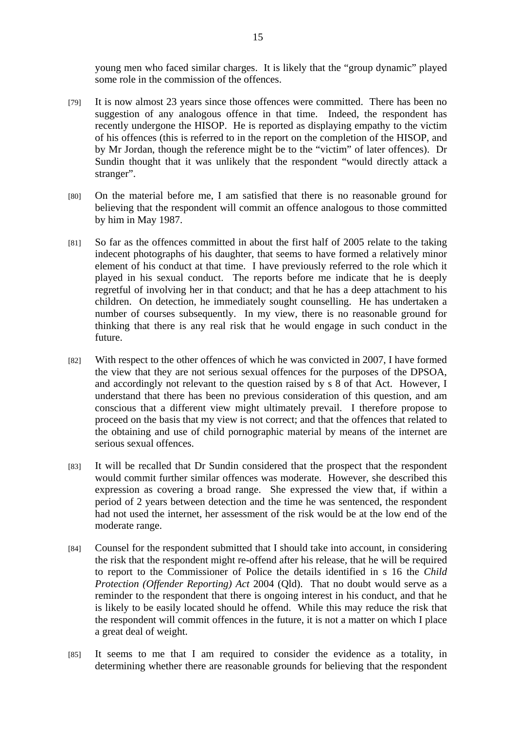young men who faced similar charges. It is likely that the "group dynamic" played some role in the commission of the offences.

- [79] It is now almost 23 years since those offences were committed. There has been no suggestion of any analogous offence in that time. Indeed, the respondent has recently undergone the HISOP. He is reported as displaying empathy to the victim of his offences (this is referred to in the report on the completion of the HISOP, and by Mr Jordan, though the reference might be to the "victim" of later offences). Dr Sundin thought that it was unlikely that the respondent "would directly attack a stranger".
- [80] On the material before me, I am satisfied that there is no reasonable ground for believing that the respondent will commit an offence analogous to those committed by him in May 1987.
- [81] So far as the offences committed in about the first half of 2005 relate to the taking indecent photographs of his daughter, that seems to have formed a relatively minor element of his conduct at that time. I have previously referred to the role which it played in his sexual conduct. The reports before me indicate that he is deeply regretful of involving her in that conduct; and that he has a deep attachment to his children. On detection, he immediately sought counselling. He has undertaken a number of courses subsequently. In my view, there is no reasonable ground for thinking that there is any real risk that he would engage in such conduct in the future.
- [82] With respect to the other offences of which he was convicted in 2007, I have formed the view that they are not serious sexual offences for the purposes of the DPSOA, and accordingly not relevant to the question raised by s 8 of that Act. However, I understand that there has been no previous consideration of this question, and am conscious that a different view might ultimately prevail. I therefore propose to proceed on the basis that my view is not correct; and that the offences that related to the obtaining and use of child pornographic material by means of the internet are serious sexual offences.
- [83] It will be recalled that Dr Sundin considered that the prospect that the respondent would commit further similar offences was moderate. However, she described this expression as covering a broad range. She expressed the view that, if within a period of 2 years between detection and the time he was sentenced, the respondent had not used the internet, her assessment of the risk would be at the low end of the moderate range.
- [84] Counsel for the respondent submitted that I should take into account, in considering the risk that the respondent might re-offend after his release, that he will be required to report to the Commissioner of Police the details identified in s 16 the *Child Protection (Offender Reporting) Act* 2004 (Qld). That no doubt would serve as a reminder to the respondent that there is ongoing interest in his conduct, and that he is likely to be easily located should he offend. While this may reduce the risk that the respondent will commit offences in the future, it is not a matter on which I place a great deal of weight.
- [85] It seems to me that I am required to consider the evidence as a totality, in determining whether there are reasonable grounds for believing that the respondent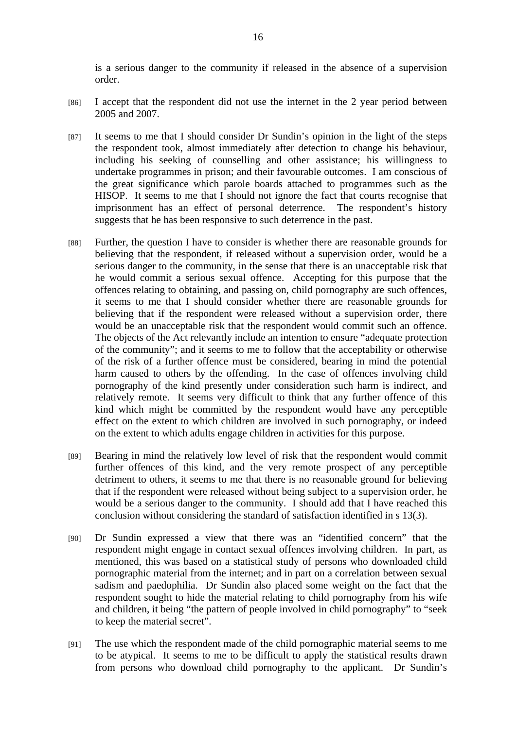is a serious danger to the community if released in the absence of a supervision order.

- [86] I accept that the respondent did not use the internet in the 2 year period between 2005 and 2007.
- [87] It seems to me that I should consider Dr Sundin's opinion in the light of the steps the respondent took, almost immediately after detection to change his behaviour, including his seeking of counselling and other assistance; his willingness to undertake programmes in prison; and their favourable outcomes. I am conscious of the great significance which parole boards attached to programmes such as the HISOP. It seems to me that I should not ignore the fact that courts recognise that imprisonment has an effect of personal deterrence. The respondent's history suggests that he has been responsive to such deterrence in the past.
- [88] Further, the question I have to consider is whether there are reasonable grounds for believing that the respondent, if released without a supervision order, would be a serious danger to the community, in the sense that there is an unacceptable risk that he would commit a serious sexual offence. Accepting for this purpose that the offences relating to obtaining, and passing on, child pornography are such offences, it seems to me that I should consider whether there are reasonable grounds for believing that if the respondent were released without a supervision order, there would be an unacceptable risk that the respondent would commit such an offence. The objects of the Act relevantly include an intention to ensure "adequate protection of the community"; and it seems to me to follow that the acceptability or otherwise of the risk of a further offence must be considered, bearing in mind the potential harm caused to others by the offending. In the case of offences involving child pornography of the kind presently under consideration such harm is indirect, and relatively remote. It seems very difficult to think that any further offence of this kind which might be committed by the respondent would have any perceptible effect on the extent to which children are involved in such pornography, or indeed on the extent to which adults engage children in activities for this purpose.
- [89] Bearing in mind the relatively low level of risk that the respondent would commit further offences of this kind, and the very remote prospect of any perceptible detriment to others, it seems to me that there is no reasonable ground for believing that if the respondent were released without being subject to a supervision order, he would be a serious danger to the community. I should add that I have reached this conclusion without considering the standard of satisfaction identified in s 13(3).
- [90] Dr Sundin expressed a view that there was an "identified concern" that the respondent might engage in contact sexual offences involving children. In part, as mentioned, this was based on a statistical study of persons who downloaded child pornographic material from the internet; and in part on a correlation between sexual sadism and paedophilia. Dr Sundin also placed some weight on the fact that the respondent sought to hide the material relating to child pornography from his wife and children, it being "the pattern of people involved in child pornography" to "seek to keep the material secret".
- [91] The use which the respondent made of the child pornographic material seems to me to be atypical. It seems to me to be difficult to apply the statistical results drawn from persons who download child pornography to the applicant. Dr Sundin's